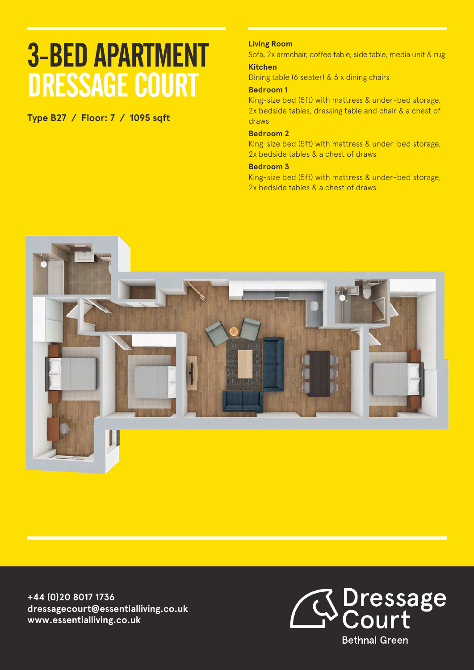# 3-BED APARTMENT DRESSAGE COURT

**Type B27 / Floor: 7 / 1095 sqft**

## **Living Room**

Sofa, 2x armchair, coffee table, side table, media unit & rug **Kitchen**

Dining table (6 seater) & 6 x dining chairs

### **Bedroom 1**

King-size bed (5ft) with mattress & under-bed storage, 2x bedside tables, dressing table and chair & a chest of draws

#### **Bedroom 2**

King-size bed (5ft) with mattress & under-bed storage, 2x bedside tables & a chest of draws

### **Bedroom 3**

King-size bed (5ft) with mattress & under-bed storage, 2x bedside tables & a chest of draws



**+44 (0)20 8017 1736 dressagecourt@essentialliving.co.uk www.essentialliving.co.uk**